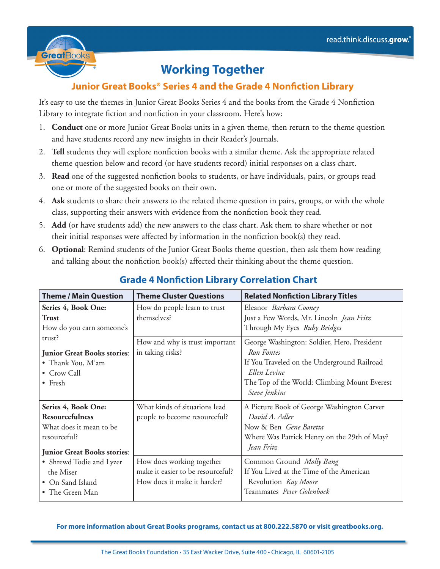

# **Working Together**

#### **Junior Great Books® Series 4 and the Grade 4 Nonfiction Library**

It's easy to use the themes in Junior Great Books Series 4 and the books from the Grade 4 Nonfiction Library to integrate fiction and nonfiction in your classroom. Here's how:

- 1. **Conduct** one or more Junior Great Books units in a given theme, then return to the theme question and have students record any new insights in their Reader's Journals.
- 2. **Tell** students they will explore nonfiction books with a similar theme. Ask the appropriate related theme question below and record (or have students record) initial responses on a class chart.
- 3. **Read** one of the suggested nonfiction books to students, or have individuals, pairs, or groups read one or more of the suggested books on their own.
- 4. **Ask** students to share their answers to the related theme question in pairs, groups, or with the whole class, supporting their answers with evidence from the nonfiction book they read.
- 5. **Add** (or have students add) the new answers to the class chart. Ask them to share whether or not their initial responses were affected by information in the nonfiction book(s) they read.
- 6. **Optional**: Remind students of the Junior Great Books theme question, then ask them how reading and talking about the nonfiction book(s) affected their thinking about the theme question.

| <b>Theme / Main Question</b>          | <b>Theme Cluster Questions</b>    | <b>Related Nonfiction Library Titles</b>     |
|---------------------------------------|-----------------------------------|----------------------------------------------|
| Series 4, Book One:                   | How do people learn to trust      | Eleanor Barbara Cooney                       |
| <b>Trust</b>                          | themselves?                       | Just a Few Words, Mr. Lincoln Jean Fritz     |
| How do you earn someone's             |                                   | Through My Eyes Ruby Bridges                 |
| trust?                                | How and why is trust important    | George Washington: Soldier, Hero, President  |
| <b>Junior Great Books stories:</b>    | in taking risks?                  | Ron Fontes                                   |
| • Thank You, M'am                     |                                   | If You Traveled on the Underground Railroad  |
| • Crow Call                           |                                   | Ellen Levine                                 |
| $\bullet$ Fresh                       |                                   | The Top of the World: Climbing Mount Everest |
|                                       |                                   | Steve Jenkins                                |
| Series 4, Book One:                   | What kinds of situations lead     | A Picture Book of George Washington Carver   |
| <b>Resourcefulness</b>                | people to become resourceful?     | David A. Adler                               |
| What does it mean to be               |                                   | Now & Ben Gene Baretta                       |
| resourceful?                          |                                   | Where Was Patrick Henry on the 29th of May?  |
| <b>Junior Great Books stories:</b>    |                                   | Jean Fritz                                   |
|                                       | How does working together         | Common Ground Molly Bang                     |
| • Shrewd Todie and Lyzer<br>the Miser | make it easier to be resourceful? | If You Lived at the Time of the American     |
| • On Sand Island                      | How does it make it harder?       | Revolution Kay Moore                         |
| • The Green Man                       |                                   | Teammates Peter Golenbock                    |
|                                       |                                   |                                              |

### **Grade 4 Nonfiction Library Correlation Chart**

#### **For more information about Great Books programs, contact us at 800.222.5870 or visit greatbooks.org.**